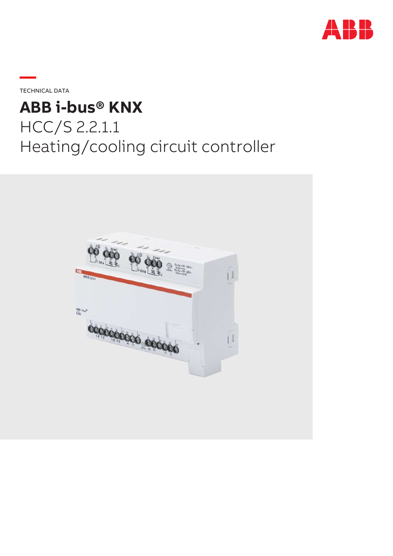

**—**TECHNICAL DATA

# **ABB i-bus® KNX** HCC/S 2.2.1.1 Heating/cooling circuit controller

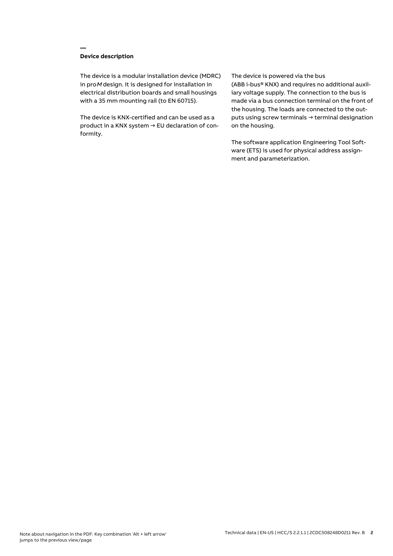# **Device description**

**—**

The device is a modular installation device (MDRC) in proM design. It is designed for installation in electrical distribution boards and small housings with a 35 mm mounting rail (to EN 60715).

The device is KNX-certified and can be used as a product in a KNX system → EU declaration of conformity.

## The device is powered via the bus

(ABB i-bus® KNX) and requires no additional auxiliary voltage supply. The connection to the bus is made via a bus connection terminal on the front of the housing. The loads are connected to the outputs using screw terminals → terminal designation on the housing.

The software application Engineering Tool Software (ETS) is used for physical address assignment and parameterization.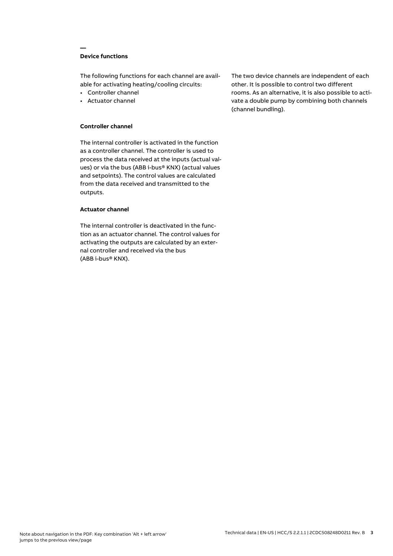# **Device functions**

**—**

The following functions for each channel are available for activating heating/cooling circuits:

- Controller channel
- Actuator channel

## **Controller channel**

The internal controller is activated in the function as a controller channel. The controller is used to process the data received at the inputs (actual values) or via the bus (ABB i-bus® KNX) (actual values and setpoints). The control values are calculated from the data received and transmitted to the outputs.

## **Actuator channel**

The internal controller is deactivated in the function as an actuator channel. The control values for activating the outputs are calculated by an external controller and received via the bus (ABB i-bus® KNX).

The two device channels are independent of each other. It is possible to control two different rooms. As an alternative, it is also possible to activate a double pump by combining both channels (channel bundling).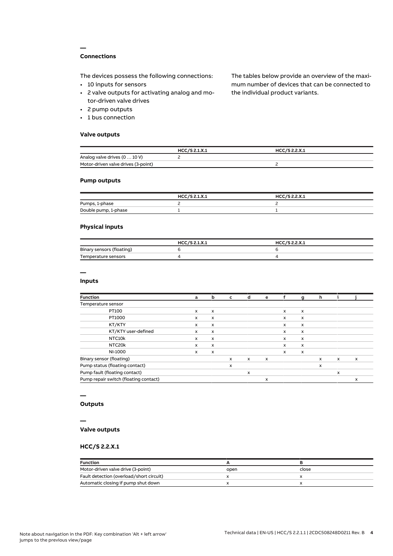# **Connections**

**—**

The devices possess the following connections:

- 10 inputs for sensors
- 2 valve outputs for activating analog and motor-driven valve drives
- 2 pump outputs
- 1 bus connection

## **Valve outputs**

The tables below provide an overview of the maximum number of devices that can be connected to the individual product variants.

|                                     | HCC/S 2.1.X.1 | HCC/S 2.2.X.1 |  |
|-------------------------------------|---------------|---------------|--|
| Analog valve drives (0  10 V)       |               |               |  |
| Motor-driven valve drives (3-point) |               |               |  |

## **Pump outputs**

|                      | HCC/S 2.1.X.1 | HCC/S 2.2.X.1 |
|----------------------|---------------|---------------|
| Pumps, 1-phase       |               |               |
| Double pump, 1-phase |               |               |

## **Physical inputs**

|                           | HCC/S 2.1.X.1 | HCC/S 2.2.X.1 |
|---------------------------|---------------|---------------|
| Binary sensors (floating) |               |               |
| Temperature sensors       |               |               |

# **—**

## **Inputs**

| <b>Function</b>                       | a            | b                         | c            | d            | е                         |              | g                         | h            |              |   |
|---------------------------------------|--------------|---------------------------|--------------|--------------|---------------------------|--------------|---------------------------|--------------|--------------|---|
| Temperature sensor                    |              |                           |              |              |                           |              |                           |              |              |   |
| PT100                                 | $\mathsf{x}$ | $\mathsf{x}$              |              |              |                           | $\mathsf{x}$ | $\boldsymbol{\mathsf{x}}$ |              |              |   |
| PT1000                                | $\mathsf{x}$ | $\mathsf{x}$              |              |              |                           | $\mathsf{x}$ | $\mathsf{x}$              |              |              |   |
| KT/KTY                                | x            | x                         |              |              |                           | x            | $\boldsymbol{\mathsf{x}}$ |              |              |   |
| KT/KTY user-defined                   | x            | $\boldsymbol{\mathsf{x}}$ |              |              |                           | x            | $\boldsymbol{\mathsf{x}}$ |              |              |   |
| NTC10k                                | x            | x                         |              |              |                           | x            | $\boldsymbol{\mathsf{x}}$ |              |              |   |
| NTC20k                                | $\mathsf{x}$ | $\boldsymbol{\mathsf{x}}$ |              |              |                           | x            | $\mathsf{x}$              |              |              |   |
| NI-1000                               | x            | $\boldsymbol{\mathsf{x}}$ |              |              |                           | x            | $\boldsymbol{\mathsf{x}}$ |              |              |   |
| Binary sensor (floating)              |              |                           | $\mathsf{x}$ | $\mathsf{x}$ | $\boldsymbol{\mathsf{x}}$ |              |                           | $\mathsf{x}$ | $\mathsf{x}$ | X |
| Pump status (floating contact)        |              |                           | X            |              |                           |              |                           | x            |              |   |
| Pump fault (floating contact)         |              |                           |              | x            |                           |              |                           |              | $\mathsf{x}$ |   |
| Pump repair switch (floating contact) |              |                           |              |              | x                         |              |                           |              |              | X |

# **—**

# **Outputs**

#### **—**

## **Valve outputs**

## **HCC/S 2.2.X.1**

| <b>Function</b>                          |      |       |  |
|------------------------------------------|------|-------|--|
| Motor-driven valve drive (3-point)       | open | close |  |
| Fault detection (overload/short circuit) |      |       |  |
| Automatic closing if pump shut down      |      |       |  |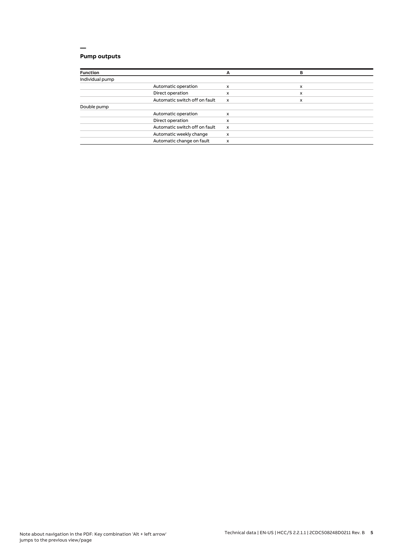# **Pump outputs**

| <b>Function</b> |                               | А                         | в |  |
|-----------------|-------------------------------|---------------------------|---|--|
| Individual pump |                               |                           |   |  |
|                 | Automatic operation           | x                         | x |  |
|                 | Direct operation              | x                         | x |  |
|                 | Automatic switch off on fault | $\boldsymbol{\mathsf{x}}$ | x |  |
| Double pump     |                               |                           |   |  |
|                 | Automatic operation           | x                         |   |  |
|                 | Direct operation              | x                         |   |  |
|                 | Automatic switch off on fault | $\boldsymbol{\mathsf{x}}$ |   |  |
|                 | Automatic weekly change       | x                         |   |  |
|                 | Automatic change on fault     | x                         |   |  |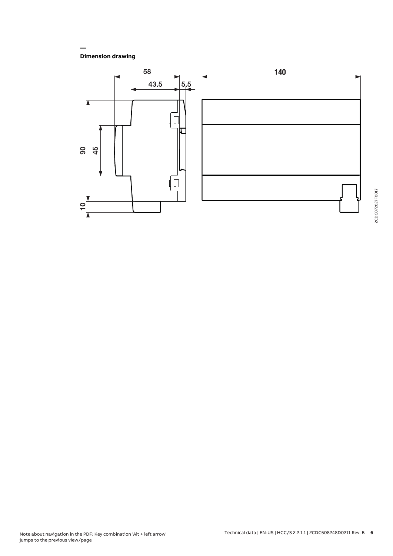**Dimension drawing**

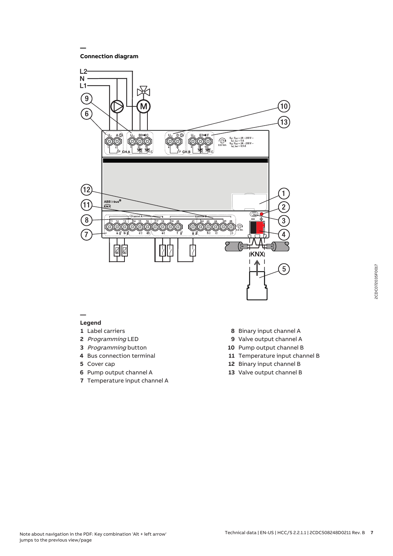**Connection diagram**

**—**



#### **— Legend**

- 
- Label carriers
- Programming LED
- Programming button
- Bus connection terminal
- Cover cap Pump output channel A
- Temperature input channel A
- Binary input channel A
- Valve output channel A
- Pump output channel B
- Temperature input channel B
- Binary input channel B
- Valve output channel B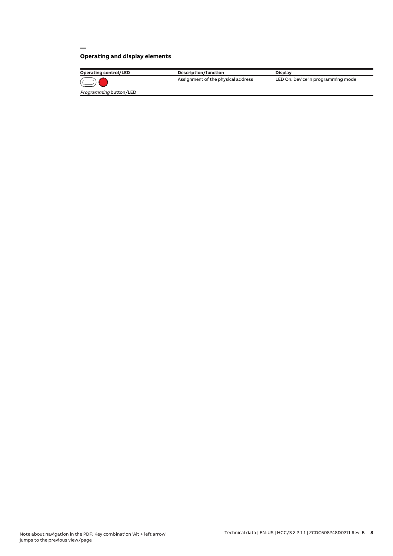# **Operating and display elements**

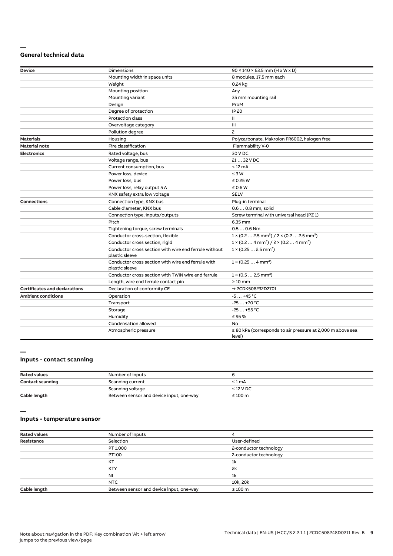#### **— General technical data**

| Device                               | Dimensions                                                              | $90 \times 140 \times 63.5$ mm (H x W x D)                                        |
|--------------------------------------|-------------------------------------------------------------------------|-----------------------------------------------------------------------------------|
|                                      | Mounting width in space units                                           | 8 modules, 17.5 mm each                                                           |
|                                      | Weight                                                                  | 0.24 kg                                                                           |
|                                      | Mounting position                                                       | Any                                                                               |
|                                      | Mounting variant                                                        | 35 mm mounting rail                                                               |
|                                      | Design                                                                  | ProM                                                                              |
|                                      | Degree of protection                                                    | <b>IP 20</b>                                                                      |
|                                      | <b>Protection class</b>                                                 | Ш                                                                                 |
|                                      | Overvoltage category                                                    | III                                                                               |
|                                      | Pollution degree                                                        | $\overline{c}$                                                                    |
| <b>Materials</b>                     | Housing                                                                 | Polycarbonate, Makrolon FR6002, halogen free                                      |
| <b>Material note</b>                 | Fire classification                                                     | Flammability V-0                                                                  |
| <b>Electronics</b>                   | Rated voltage, bus                                                      | 30 V DC                                                                           |
|                                      | Voltage range, bus                                                      | 21  32 V DC                                                                       |
|                                      | Current consumption, bus                                                | $< 12 \text{ mA}$                                                                 |
|                                      | Power loss, device                                                      | $\leq 3 W$                                                                        |
|                                      | Power loss, bus                                                         | $\leq$ 0.25 W                                                                     |
|                                      | Power loss, relay output 5 A                                            | $\leq 0.6 W$                                                                      |
|                                      | KNX safety extra low voltage                                            | <b>SELV</b>                                                                       |
| <b>Connections</b>                   | Connection type, KNX bus                                                | Plug-in terminal                                                                  |
|                                      | Cable diameter, KNX bus                                                 | 0.6  0.8 mm, solid                                                                |
|                                      | Connection type, inputs/outputs                                         | Screw terminal with universal head (PZ 1)                                         |
|                                      | Pitch                                                                   | 6.35 mm                                                                           |
|                                      | Tightening torque, screw terminals                                      | $0.50.6$ Nm                                                                       |
|                                      | Conductor cross-section, flexible                                       | $1 \times (0.2 \ldots 2.5 \text{ mm}^2) / 2 \times (0.2 \ldots 2.5 \text{ mm}^2)$ |
|                                      | Conductor cross section, rigid                                          | $1 \times (0.2 \ldots 4 \text{ mm}^2) / 2 \times (0.2 \ldots 4 \text{ mm}^2)$     |
|                                      | Conductor cross section with wire end ferrule without<br>plastic sleeve | $1 \times (0.252.5 \text{ mm}^2)$                                                 |
|                                      | Conductor cross section with wire end ferrule with<br>plastic sleeve    | $1 \times (0.254 \text{ mm}^2)$                                                   |
|                                      | Conductor cross section with TWIN wire end ferrule                      | $1 \times (0.52.5)$ mm <sup>2</sup> )                                             |
|                                      | Length, wire end ferrule contact pin                                    | $\geq 10$ mm                                                                      |
| <b>Certificates and declarations</b> | Declaration of conformity CE                                            | → 2CDK508232D2701                                                                 |
| <b>Ambient conditions</b>            | Operation                                                               | $-5+45$ °C                                                                        |
|                                      | Transport                                                               | $-25+70 °C$                                                                       |
|                                      | Storage                                                                 | $-25+55$ °C                                                                       |
|                                      | Humidity                                                                | $\leq$ 95 %                                                                       |
|                                      | Condensation allowed                                                    | No                                                                                |
|                                      | Atmospheric pressure                                                    | $\geq$ 80 kPa (corresponds to air pressure at 2,000 m above sea<br>level)         |

#### **—**

# **Inputs - contact scanning**

| <b>Rated values</b>     | Number of inputs                         |                |
|-------------------------|------------------------------------------|----------------|
| <b>Contact scanning</b> | Scanning current                         | $\leq 1$ mA    |
|                         | Scanning voltage                         | $\leq$ 12 V DC |
| Cable length            | Between sensor and device input, one-way | $\leq 100$ m   |

**—**

## **Inputs - temperature sensor**

| <b>Rated values</b> | Number of inputs                         |                        |
|---------------------|------------------------------------------|------------------------|
| Resistance          | Selection                                | User-defined           |
|                     | PT 1.000                                 | 2-conductor technology |
|                     | PT100                                    | 2-conductor technology |
|                     | KT                                       | 1k                     |
|                     | <b>KTY</b>                               | 2k                     |
|                     | <b>NI</b>                                | 1k                     |
|                     | NTC                                      | 10k, 20k               |
| Cable length        | Between sensor and device input, one-way | $\leq 100$ m           |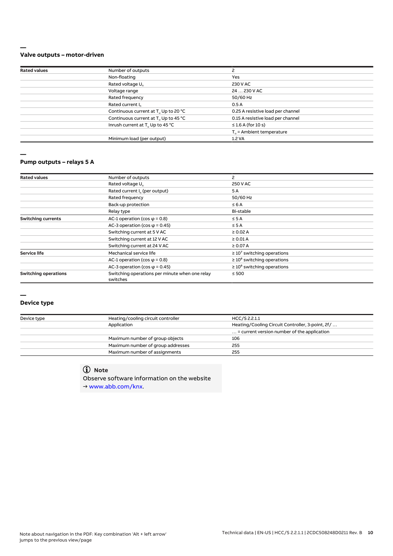#### **— Valve outputs – motor-driven**

| <b>Rated values</b> | Number of outputs                                |                                      |  |
|---------------------|--------------------------------------------------|--------------------------------------|--|
|                     |                                                  |                                      |  |
|                     | Non-floating                                     | Yes                                  |  |
|                     | Rated voltage U <sub>n</sub>                     | 230 V AC                             |  |
|                     | Voltage range                                    | 24  230 V AC                         |  |
|                     | Rated frequency                                  | 50/60 Hz                             |  |
|                     | Rated current I <sub>n</sub>                     | 0.5A                                 |  |
|                     | Continuous current at T. Up to 20 °C             | 0.25 A resistive load per channel    |  |
|                     | Continuous current at T <sub>u</sub> Up to 45 °C | 0.15 A resistive load per channel    |  |
|                     | Inrush current at T <sub>u</sub> Up to 45 °C     | $\leq$ 1.6 A (for 10 s)              |  |
|                     |                                                  | $T_{\text{u}}$ = Ambient temperature |  |
|                     | Minimum load (per output)                        | 1.2 VA                               |  |
|                     |                                                  |                                      |  |

#### **—**

#### **Pump outputs – relays 5 A**

| Number of outputs                                          | 2                                |
|------------------------------------------------------------|----------------------------------|
| Rated voltage U <sub>n</sub>                               | 250 V AC                         |
| Rated current I <sub>n</sub> (per output)                  | 5A                               |
| Rated frequency                                            | 50/60 Hz                         |
| Back-up protection                                         | $\leq 6A$                        |
| Relay type                                                 | Bi-stable                        |
| AC-1 operation (cos $\varphi$ = 0.8)                       | $\leq$ 5 A                       |
| AC-3 operation (cos $\varphi$ = 0.45)                      | $\leq$ 5 A                       |
| Switching current at 5 V AC                                | $\geq$ 0.02 A                    |
| Switching current at 12 V AC                               | $\geq 0.01$ A                    |
| Switching current at 24 V AC                               | $\geq 0.07$ A                    |
| Mechanical service life                                    | $\geq 10^7$ switching operations |
| AC-1 operation (cos $\varphi$ = 0.8)                       | $\geq 10^6$ switching operations |
| AC-3 operation (cos $\varphi$ = 0.45)                      | $\geq 10^6$ switching operations |
| Switching operations per minute when one relay<br>switches | $\leq 500$                       |
|                                                            |                                  |

#### **—**

#### **Device type**

| Device type | Heating/cooling circuit controller | HCC/S 2.2.1.1                                        |
|-------------|------------------------------------|------------------------------------------------------|
|             | Application                        | Heating/Cooling Circuit Controller, 3-point, 2f/     |
|             |                                    | $\ldots$ = current version number of the application |
|             | Maximum number of group objects    | 106                                                  |
|             | Maximum number of group addresses  | 255                                                  |
|             | Maximum number of assignments      | 255                                                  |

# **Note**

Observe software information on the website → www.abb.com/knx.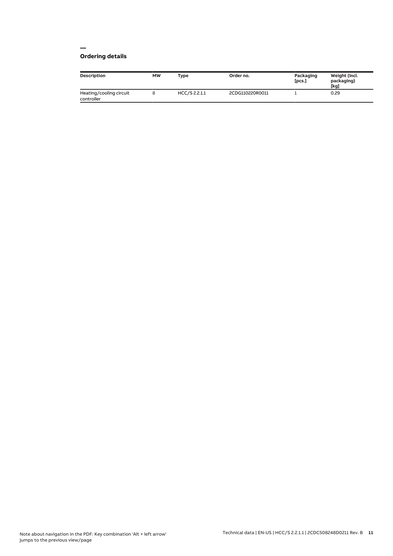# **Ordering details**

| Description                           | <b>MW</b> | <b>Type</b>   | Order no.       | Packaging<br>[pcs.] | Weight (incl.<br>packaging)<br>[kg] |
|---------------------------------------|-----------|---------------|-----------------|---------------------|-------------------------------------|
| Heating/cooling circuit<br>controller |           | HCC/S 2.2.1.1 | 2CDG110220R0011 |                     | 0.29                                |